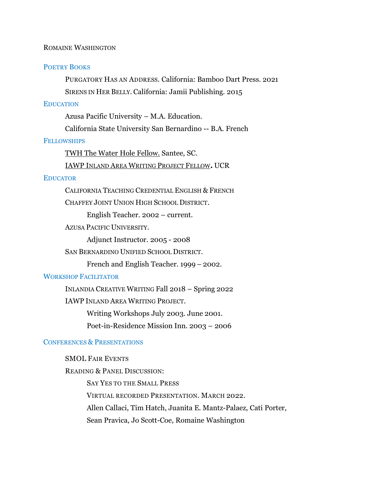## ROMAINE WASHINGTON

### POETRY BOOKS

PURGATORY HAS AN ADDRESS. California: Bamboo Dart Press. 2021

SIRENS IN HER BELLY. California: Jamii Publishing. 2015

# EDUCATION

Azusa Pacific University – M.A. Education.

California State University San Bernardino -- B.A. French

# **FELLOWSHIPS**

TWH The Water Hole [Fellow.](https://twhpoetry.org/about/) Santee, SC.

[IAWP](https://iawp.ucr.edu/) INLAND AREA WRITING PROJECT FELLOW**.** UCR

## **EDUCATOR**

CALIFORNIA TEACHING CREDENTIAL ENGLISH & FRENCH

CHAFFEY JOINT UNION HIGH SCHOOL DISTRICT.

English Teacher. 2002 – current.

AZUSA PACIFIC UNIVERSITY.

Adjunct Instructor. 2005 - 2008

SAN BERNARDINO UNIFIED SCHOOL DISTRICT.

French and English Teacher. 1999 – 2002.

### WORKSHOP FACILITATOR

INLANDIA CREATIVE WRITING Fall 2018 – Spring 2022

IAWP INLAND AREA WRITING PROJECT.

Writing Workshops July 2003. June 2001.

Poet-in-Residence Mission Inn. 2003 – 2006

# CONFERENCES & PRESENTATIONS

# SMOL FAIR EVENTS

READING & PANEL DISCUSSION: SAY YES TO THE SMALL PRESS VIRTUAL RECORDED PRESENTATION. MARCH 2022. Allen Callaci, Tim Hatch, Juanita E. Mantz-Palaez, Cati Porter, Sean Pravica, Jo Scott-Coe, Romaine Washington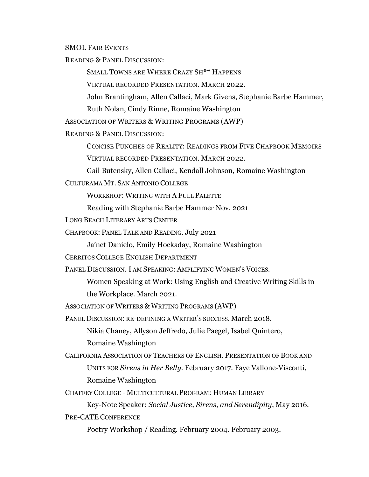SMOL FAIR EVENTS

READING & PANEL DISCUSSION:

SMALL TOWNS ARE WHERE CRAZY SH\*\* HAPPENS

VIRTUAL RECORDED PRESENTATION. MARCH 2022.

John Brantingham, Allen Callaci, Mark Givens, Stephanie Barbe Hammer,

Ruth Nolan, Cindy Rinne, Romaine Washington

ASSOCIATION OF WRITERS & WRITING PROGRAMS (AWP)

READING & PANEL DISCUSSION:

CONCISE PUNCHES OF REALITY: READINGS FROM FIVE CHAPBOOK MEMOIRS

VIRTUAL RECORDED PRESENTATION. MARCH 2022.

Gail Butensky, Allen Callaci, Kendall Johnson, Romaine Washington

CULTURAMA MT. SAN ANTONIO COLLEGE

WORKSHOP: WRITING WITH A FULL PALETTE

Reading with Stephanie Barbe Hammer Nov. 2021

LONG BEACH LITERARY ARTS CENTER

CHAPBOOK: PANEL TALK AND READING. July 2021

Ja'net Danielo, Emily Hockaday, Romaine Washington

CERRITOS COLLEGE ENGLISH DEPARTMENT

PANEL DISCUSSION. I AM SPEAKING: AMPLIFYING WOMEN'S VOICES.

Women Speaking at Work: Using English and Creative Writing Skills in the Workplace. March 2021.

ASSOCIATION OF WRITERS & WRITING PROGRAMS (AWP)

PANEL DISCUSSION: RE-DEFINING A WRITER'S SUCCESS. March 2018.

Nikia Chaney, Allyson Jeffredo, Julie Paegel, Isabel Quintero, Romaine Washington

CALIFORNIA ASSOCIATION OF TEACHERS OF ENGLISH. PRESENTATION OF BOOK AND UNITS FOR *Sirens in Her Belly.* February 2017. Faye Vallone-Visconti, Romaine Washington

CHAFFEY COLLEGE - MULTICULTURAL PROGRAM: HUMAN LIBRARY

Key-Note Speaker: *Social Justice, Sirens, and Serendipity*, May 2016.

PRE-CATE CONFERENCE

Poetry Workshop / Reading. February 2004. February 2003.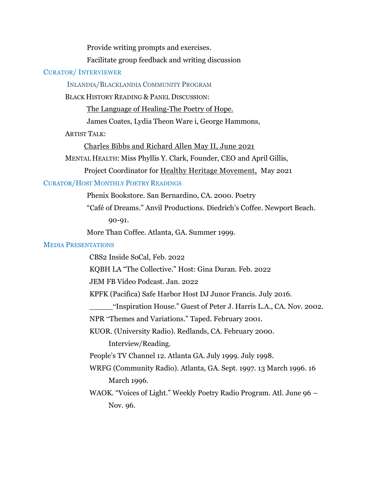Provide writing prompts and exercises.

Facilitate group feedback and writing discussion

# CURATOR/ INTERVIEWER

INLANDIA/BLACKLANDIA COMMUNITY PROGRAM

BLACK HISTORY READING & PANEL DISCUSSION:

The Language of [Healing-The](https://www.youtube.com/watch?v=C-pOSClnfao&list=PLPM3IsDSY7O4kJylauZBQDSI7nfC-fSOB&ab_channel=InlandiaInstitute) Poetry of Hope.

James Coates, Lydia Theon Ware i, George Hammons,

ARTIST TALK:

[Charles Bibbs and Richard Allen May II, June 2021](https://www.youtube.com/watch?v=j8rKvkc8V4I&t=434s)

MENTAL HEALTH: Miss Phyllis Y. Clark, Founder, CEO and April Gillis,

Project Coordinator for Healthy [Heritage Movement,](https://www.youtube.com/watch?v=3nPQGWEBqNM&t=2106s&ab_channel=InlandiaInstitute) May 2021

# CURATOR/HOST MONTHLY POETRY READINGS

Phenix Bookstore. San Bernardino, CA. 2000. Poetry

"Café of Dreams." Anvil Productions. Diedrich's Coffee. Newport Beach.

90-91.

More Than Coffee. Atlanta, GA. Summer 1999.

# MEDIA PRESENTATIONS

CBS2 Inside SoCal, Feb. 2022

KQBH LA "The Collective." Host: Gina Duran. Feb. 2022

JEM FB Video Podcast. Jan. 2022

KPFK (Pacifica) Safe Harbor Host DJ Junor Francis. July 2016.

\_\_\_\_\_"Inspiration House." Guest of Peter J. Harris L.A., CA. Nov. 2002.

NPR "Themes and Variations." Taped. February 2001.

KUOR. (University Radio). Redlands, CA. February 2000. Interview/Reading.

People's TV Channel 12. Atlanta GA. July 1999. July 1998.

WRFG (Community Radio). Atlanta, GA. Sept. 1997. 13 March 1996. 16 March 1996.

WAOK. "Voices of Light." Weekly Poetry Radio Program. Atl. June 96 – Nov. 96.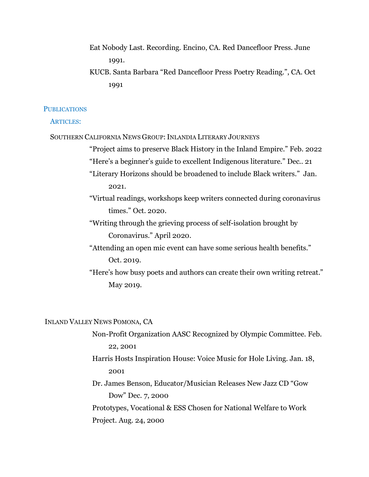Eat Nobody Last. Recording. Encino, CA. Red Dancefloor Press. June 1991.

KUCB. Santa Barbara "Red Dancefloor Press Poetry Reading.", CA. Oct 1991

### **PUBLICATIONS**

#### ARTICLES:

SOUTHERN CALIFORNIA NEWS GROUP: INLANDIA LITERARY JOURNEYS

"Project aims to preserve Black History in the Inland Empire." Feb. 2022 "Here's a beginner's guide to excellent Indigenous literature." Dec.. 21

"Literary Horizons should be broadened to include Black writers." Jan. 2021.

"Virtual readings, workshops keep writers connected during coronavirus times." Oct. 2020.

"Writing through the grieving process of self-isolation brought by Coronavirus." April 2020.

"Attending an open mic event can have some serious health benefits." Oct. 2019.

"Here's how busy poets and authors can create their own writing retreat." May 2019.

INLAND VALLEY NEWS POMONA, CA

Non-Profit Organization AASC Recognized by Olympic Committee. Feb. 22, 2001

Harris Hosts Inspiration House: Voice Music for Hole Living. Jan. 18, 2001

Dr. James Benson, Educator/Musician Releases New Jazz CD "Gow Dow" Dec. 7, 2000

Prototypes, Vocational & ESS Chosen for National Welfare to Work Project. Aug. 24, 2000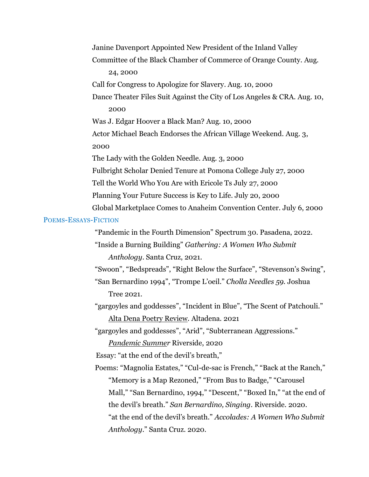Janine Davenport Appointed New President of the Inland Valley Committee of the Black Chamber of Commerce of Orange County. Aug. 24, 2000 Call for Congress to Apologize for Slavery. Aug. 10, 2000 Dance Theater Files Suit Against the City of Los Angeles & CRA. Aug. 10, 2000 Was J. Edgar Hoover a Black Man? Aug. 10, 2000 Actor Michael Beach Endorses the African Village Weekend. Aug. 3, 2000 The Lady with the Golden Needle. Aug. 3, 2000 Fulbright Scholar Denied Tenure at Pomona College July 27, 2000 Tell the World Who You Are with Ericole Ts July 27, 2000 Planning Your Future Success is Key to Life. July 20, 2000 Global Marketplace Comes to Anaheim Convention Center. July 6, 2000

#### POEMS-ESSAYS-FICTION

"Pandemic in the Fourth Dimension" Spectrum 30. Pasadena, 2022.

"Inside a Burning Building" *Gathering: A Women Who Submit Anthology*. Santa Cruz, 2021.

"Swoon", "Bedspreads", "Right Below the Surface", "Stevenson's Swing",

"San Bernardino 1994", "Trompe L'oeil." *Cholla Needles 59.* Joshua Tree 2021.

"gargoyles and goddesses", "Incident in Blue", "The Scent of Patchouli." Alta Dena Poetry [Review.](https://www.altadenapoetryreview.com/post/3-poems-by-romaine-washington) Altadena. 2021

"gargoyles and goddesses", "Arid", "Subterranean Aggressions." *[Pandemic](https://tinyurl.com/PandemicSummerE-Chap) Summer* Riverside, 2020

Essay: "at the end of the devil's breath,"

Poems: "Magnolia Estates," "Cul-de-sac is French," "Back at the Ranch," "Memory is a Map Rezoned," "From Bus to Badge," "Carousel Mall," "San Bernardino, 1994," "Descent," "Boxed In," "at the end of the devil's breath." *San Bernardino, Singing*. Riverside. 2020. "at the end of the devil's breath." *Accolades: A Women Who Submit Anthology*." Santa Cruz. 2020.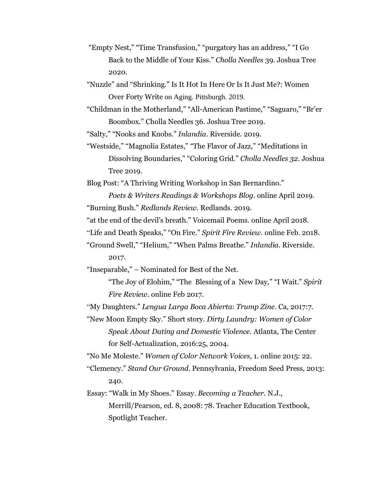"Empty Nest," "Time Transfusion," "purgatory has an address," "I Go Back to the Middle of Your Kiss." *Cholla Needles* 39. Joshua Tree 2020.

"Nuzzle" and "Shrinking." Is It Hot In Here Or Is It Just Me?: Women Over Forty Write on Aging. Pittsburgh. 2019.

"Childman in the Motherland," "All-American Pastime," "Saguaro," "Br'er Boombox." Cholla Needles 36. Joshua Tree 2019.

"Salty," "Nooks and Knobs." *Inlandia*. Riverside. 2019.

"Westside," "Magnolia Estates," "The Flavor of Jazz," "Meditations in Dissolving Boundaries," "Coloring Grid." *Cholla Needles 32.* Joshua Tree 2019.

Blog Post: "A Thriving Writing Workshop in San Bernardino."

*Poets & Writers Readings & Workshops Blog.* online April 2019. "Burning Bush." *Redlands Review.* Redlands. 2019.

"at the end of the devil's breath." Voicemail Poems. online April 2018.

"Life and Death Speaks," "On Fire." *Spirit Fire Review.* online Feb. 2018.

"Ground Swell," "Helium," "When Palms Breathe." *Inlandia.* Riverside. 2017.

"Inseparable," – Nominated for Best of the Net.

"The Joy of Elohim," "The Blessing of a New Day," "I Wait." *Spirit Fire Review.* online Feb 2017.

"My Daughters." *Lengua Larga Boca Abierta*: *Trump Zine*. Ca, 2017:7.

"New Moon Empty Sky." Short story. *Dirty Laundry: Women of Color Speak About Dating and Domestic Violence.* Atlanta, The Center for Self-Actualization, 2016:25, 2004.

"No Me Moleste." *Women of Color Network Voices,* 1. online 2015: 22.

"Clemency." *Stand Our Ground.* Pennsylvania, Freedom Seed Press, 2013: 240.

Essay: "Walk in My Shoes." Essay. *Becoming a Teacher.* N.J., Merrill/Pearson, ed. 8, 2008: 78. Teacher Education Textbook, Spotlight Teacher.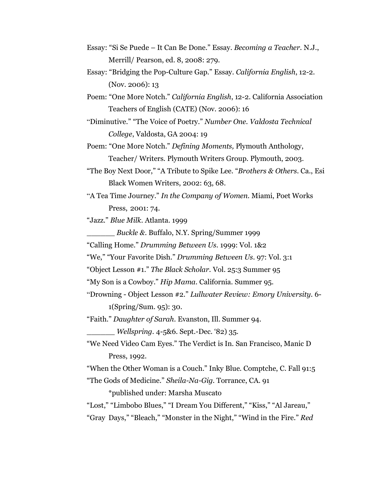- Essay: "Si Se Puede It Can Be Done." Essay. *Becoming a Teacher.* N.J., Merrill/ Pearson, ed. 8, 2008: 279.
- Essay: "Bridging the Pop-Culture Gap." Essay. *California English*, 12-2. (Nov. 2006): 13
- Poem: "One More Notch." *California English*, 12-2. California Association Teachers of English (CATE) (Nov. 2006): 16
- "Diminutive." "The Voice of Poetry." *Number One. Valdosta Technical College*, Valdosta, GA 2004: 19
- Poem: "One More Notch." *Defining Moments,* Plymouth Anthology, Teacher/ Writers. Plymouth Writers Group. Plymouth, 2003.
- "The Boy Next Door," "A Tribute to Spike Lee. "*Brothers & Others.* Ca., Esi Black Women Writers, 2002: 63, 68.
- "A Tea Time Journey." *In the Company of Women.* Miami, Poet Works Press, 2001: 74.

"Jazz." *Blue Milk*. Atlanta. 1999

\_\_\_\_\_\_ *Buckle &.* Buffalo, N.Y. Spring/Summer 1999

"Calling Home." *Drumming Between Us*. 1999: Vol. 1&2

"We," "Your Favorite Dish." *Drumming Between Us*. 97: Vol. 3:1

"Object Lesson #1." *The Black Scholar.* Vol. 25:3 Summer 95

"My Son is a Cowboy." *Hip Mama.* California. Summer 95.

"Drowning - Object Lesson #2." *Lullwater Review: Emory University.* 6- 1(Spring/Sum. 95): 30.

"Faith." *Daughter of Sarah.* Evanston, Ill. Summer 94.

\_\_\_\_\_\_ *Wellspring.* 4-5&6. Sept.-Dec. '82) 35.

"We Need Video Cam Eyes." The Verdict is In. San Francisco, Manic D Press, 1992.

"When the Other Woman is a Couch." Inky Blue. Comptche, C. Fall 91:5 "The Gods of Medicine." *Sheila-Na-Gig.* Torrance, CA. 91

\*published under: Marsha Muscato

"Lost," "Limbobo Blues," "I Dream You Different," "Kiss," "Al Jareau," "Gray Days," "Bleach," "Monster in the Night," "Wind in the Fire." *Red*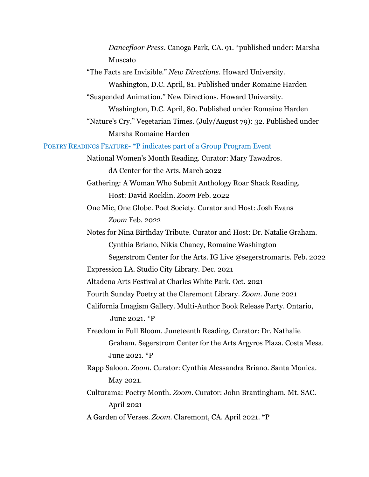*Dancefloor Press*. Canoga Park, CA. 91. \*published under: Marsha Muscato "The Facts are Invisible." *New Directions.* Howard University. Washington, D.C. April, 81. Published under Romaine Harden "Suspended Animation." New Directions. Howard University. Washington, D.C. April, 80. Published under Romaine Harden "Nature's Cry." Vegetarian Times. (July/August 79): 32. Published under Marsha Romaine Harden POETRY READINGS FEATURE- \*P indicates part of a Group Program Event National Women's Month Reading. Curator: Mary Tawadros. dA Center for the Arts. March 2022 Gathering: A Woman Who Submit Anthology Roar Shack Reading. Host: David Rocklin. *Zoom* Feb. 2022 One Mic, One Globe. Poet Society. Curator and Host: Josh Evans *Zoom* Feb. 2022 Notes for Nina Birthday Tribute. Curator and Host: Dr. Natalie Graham. Cynthia Briano, Nikia Chaney, Romaine Washington Segerstrom Center for the Arts. IG Live @segerstromarts. Feb. 2022 Expression LA. Studio City Library. Dec. 2021 Altadena Arts Festival at Charles White Park. Oct. 2021 Fourth Sunday Poetry at the Claremont Library. *Zoom.* June 2021 California Imagism Gallery. Multi-Author Book Release Party. Ontario, June 2021. \*P Freedom in Full Bloom. Juneteenth Reading. Curator: Dr. Nathalie Graham. Segerstrom Center for the Arts Argyros Plaza. Costa Mesa. June 2021. \*P Rapp Saloon. *Zoom.* Curator: Cynthia Alessandra Briano. Santa Monica. May 2021. Culturama: Poetry Month. *Zoom*. Curator: John Brantingham. Mt. SAC. April 2021 A Garden of Verses. *Zoom.* Claremont, CA. April 2021. \*P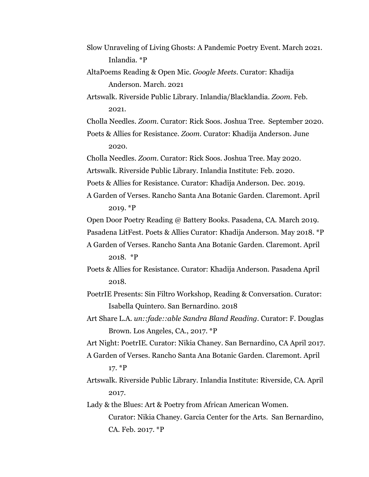- Slow Unraveling of Living Ghosts: A Pandemic Poetry Event. March 2021. Inlandia. \*P
- AltaPoems Reading & Open Mic. *Google Meets.* Curator: Khadija Anderson. March. 2021

Artswalk. Riverside Public Library. Inlandia/Blacklandia. *Zoom.* Feb. 2021.

Cholla Needles. *Zoom.* Curator: Rick Soos. Joshua Tree. September 2020.

Poets & Allies for Resistance. *Zoom.* Curator: Khadija Anderson. June 2020.

Cholla Needles. *Zoom*. Curator: Rick Soos. Joshua Tree. May 2020.

Artswalk. Riverside Public Library. Inlandia Institute: Feb. 2020.

Poets & Allies for Resistance. Curator: Khadija Anderson. Dec. 2019.

A Garden of Verses. Rancho Santa Ana Botanic Garden. Claremont. April 2019. \*P

Open Door Poetry Reading @ Battery Books. Pasadena, CA. March 2019.

Pasadena LitFest. Poets & Allies Curator: Khadija Anderson. May 2018. \*P

- A Garden of Verses. Rancho Santa Ana Botanic Garden. Claremont. April 2018. \*P
- Poets & Allies for Resistance. Curator: Khadija Anderson. Pasadena April 2018.

PoetrIE Presents: Sin Filtro Workshop, Reading & Conversation. Curator: Isabella Quintero. San Bernardino. 2018

Art Share L.A. *un::fade::able Sandra Bland Reading.* Curator: F. Douglas Brown. Los Angeles, CA., 2017. \*P

Art Night: PoetrIE. Curator: Nikia Chaney. San Bernardino, CA April 2017.

- A Garden of Verses. Rancho Santa Ana Botanic Garden. Claremont. April 17. \*P
- Artswalk. Riverside Public Library. Inlandia Institute: Riverside, CA. April 2017.

Lady & the Blues: Art & Poetry from African American Women. Curator: Nikia Chaney. Garcia Center for the Arts. San Bernardino, CA. Feb. 2017. \*P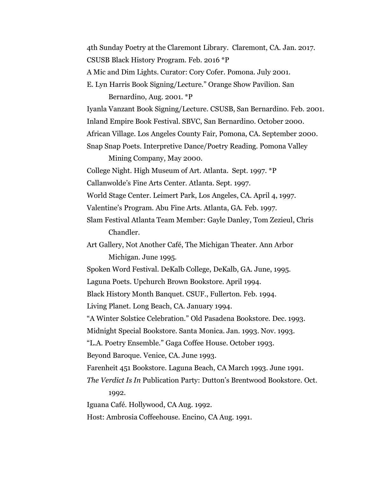4th Sunday Poetry at the Claremont Library. Claremont, CA. Jan. 2017. CSUSB Black History Program. Feb. 2016 \*P A Mic and Dim Lights. Curator: Cory Cofer. Pomona. July 2001. E. Lyn Harris Book Signing/Lecture." Orange Show Pavilion. San Bernardino, Aug. 2001. \*P Iyanla Vanzant Book Signing/Lecture. CSUSB, San Bernardino. Feb. 2001. Inland Empire Book Festival. SBVC, San Bernardino. October 2000. African Village. Los Angeles County Fair, Pomona, CA. September 2000. Snap Snap Poets. Interpretive Dance/Poetry Reading. Pomona Valley Mining Company, May 2000. College Night. High Museum of Art. Atlanta. Sept. 1997. \*P Callanwolde's Fine Arts Center. Atlanta. Sept. 1997. World Stage Center. Leimert Park, Los Angeles, CA. April 4, 1997. Valentine's Program. Abu Fine Arts. Atlanta, GA. Feb. 1997. Slam Festival Atlanta Team Member: Gayle Danley, Tom Zezieul, Chris Chandler. Art Gallery, Not Another Café, The Michigan Theater. Ann Arbor Michigan. June 1995. Spoken Word Festival. DeKalb College, DeKalb, GA. June, 1995. Laguna Poets. Upchurch Brown Bookstore. April 1994. Black History Month Banquet. CSUF., Fullerton. Feb. 1994. Living Planet. Long Beach, CA. January 1994. "A Winter Solstice Celebration." Old Pasadena Bookstore. Dec. 1993. Midnight Special Bookstore. Santa Monica. Jan. 1993. Nov. 1993. "L.A. Poetry Ensemble." Gaga Coffee House. October 1993. Beyond Baroque. Venice, CA. June 1993. Farenheit 451 Bookstore. Laguna Beach, CA March 1993. June 1991. *The Verdict Is In* Publication Party: Dutton's Brentwood Bookstore. Oct. 1992. Iguana Café. Hollywood, CA Aug. 1992. Host: Ambrosia Coffeehouse. Encino, CA Aug. 1991.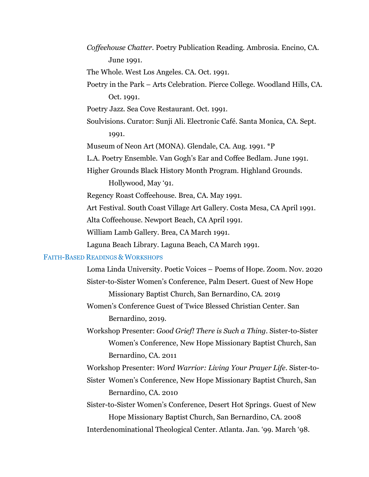*Coffeehouse Chatter.* Poetry Publication Reading. Ambrosia. Encino, CA. June 1991.

The Whole. West Los Angeles. CA. Oct. 1991.

Poetry in the Park – Arts Celebration. Pierce College. Woodland Hills, CA. Oct. 1991.

Poetry Jazz. Sea Cove Restaurant. Oct. 1991.

Soulvisions. Curator: Sunji Ali. Electronic Café. Santa Monica, CA. Sept. 1991.

Museum of Neon Art (MONA). Glendale, CA. Aug. 1991. \*P

L.A. Poetry Ensemble. Van Gogh's Ear and Coffee Bedlam. June 1991.

Higher Grounds Black History Month Program. Highland Grounds.

Hollywood, May '91.

Regency Roast Coffeehouse. Brea, CA. May 1991.

Art Festival. South Coast Village Art Gallery. Costa Mesa, CA April 1991.

Alta Coffeehouse. Newport Beach, CA April 1991.

William Lamb Gallery. Brea, CA March 1991.

Laguna Beach Library. Laguna Beach, CA March 1991.

## FAITH-BASED READINGS & WORKSHOPS

- Loma Linda University. Poetic Voices Poems of Hope. Zoom. Nov. 2020 Sister-to-Sister Women's Conference, Palm Desert. Guest of New Hope Missionary Baptist Church, San Bernardino, CA. 2019
- Women's Conference Guest of Twice Blessed Christian Center. San Bernardino, 2019.
- Workshop Presenter: *Good Grief! There is Such a Thing.* Sister-to-Sister Women's Conference, New Hope Missionary Baptist Church, San Bernardino, CA. 2011

Workshop Presenter: *Word Warrior: Living Your Prayer Life.* Sister-to-

Sister Women's Conference, New Hope Missionary Baptist Church, San Bernardino, CA. 2010

Sister-to-Sister Women's Conference, Desert Hot Springs. Guest of New Hope Missionary Baptist Church, San Bernardino, CA. 2008 Interdenominational Theological Center. Atlanta. Jan. '99. March '98.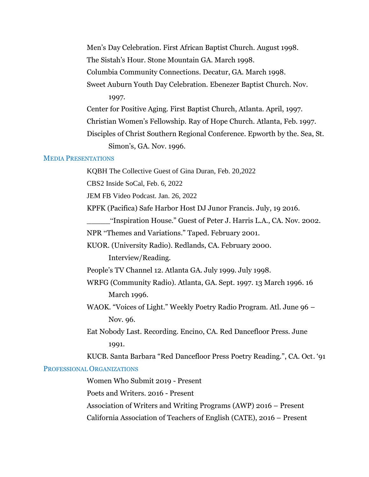Men's Day Celebration. First African Baptist Church. August 1998.

The Sistah's Hour. Stone Mountain GA. March 1998.

Columbia Community Connections. Decatur, GA. March 1998.

Sweet Auburn Youth Day Celebration. Ebenezer Baptist Church. Nov. 1997.

Center for Positive Aging. First Baptist Church, Atlanta. April, 1997.

Christian Women's Fellowship. Ray of Hope Church. Atlanta, Feb. 1997.

Disciples of Christ Southern Regional Conference. Epworth by the. Sea, St. Simon's, GA. Nov. 1996.

# MEDIA PRESENTATIONS

KQBH The Collective Guest of Gina Duran, Feb. 20,2022

CBS2 Inside SoCal, Feb. 6, 2022

JEM FB Video Podcast. Jan. 26, 2022

KPFK (Pacifica) Safe Harbor Host DJ Junor Francis. July, 19 2016.

\_\_\_\_\_"Inspiration House." Guest of Peter J. Harris L.A., CA. Nov. 2002.

NPR "Themes and Variations." Taped. February 2001.

KUOR. (University Radio). Redlands, CA. February 2000.

Interview/Reading.

People's TV Channel 12. Atlanta GA. July 1999. July 1998.

WRFG (Community Radio). Atlanta, GA. Sept. 1997. 13 March 1996. 16 March 1996.

WAOK. "Voices of Light." Weekly Poetry Radio Program. Atl. June 96 – Nov. 96.

Eat Nobody Last. Recording. Encino, CA. Red Dancefloor Press. June 1991.

KUCB. Santa Barbara "Red Dancefloor Press Poetry Reading.", CA. Oct. '91

# PROFESSIONAL ORGANIZATIONS

Women Who Submit 2019 - Present

Poets and Writers. 2016 - Present

Association of Writers and Writing Programs (AWP) 2016 – Present California Association of Teachers of English (CATE), 2016 – Present